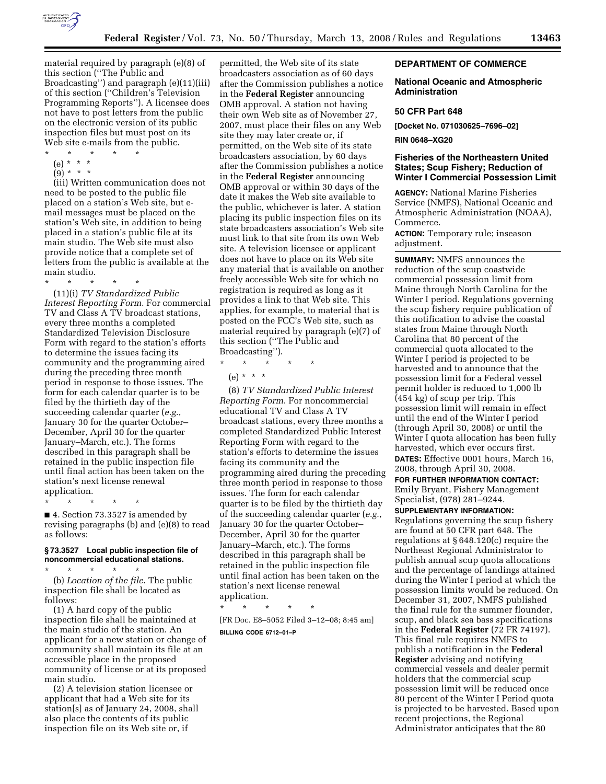

material required by paragraph (e)(8) of this section (''The Public and Broadcasting'') and paragraph (e)(11)(iii) of this section (''Children's Television Programming Reports''). A licensee does not have to post letters from the public on the electronic version of its public inspection files but must post on its Web site e-mails from the public.

- $\star$   $\star$   $\star$
- (e) \* \* \*
- $(9) * * * *$

(iii) Written communication does not need to be posted to the public file placed on a station's Web site, but email messages must be placed on the station's Web site, in addition to being placed in a station's public file at its main studio. The Web site must also provide notice that a complete set of letters from the public is available at the main studio.

\* \* \* \* \*

(11)(i) *TV Standardized Public Interest Reporting Form*. For commercial TV and Class A TV broadcast stations, every three months a completed Standardized Television Disclosure Form with regard to the station's efforts to determine the issues facing its community and the programming aired during the preceding three month period in response to those issues. The form for each calendar quarter is to be filed by the thirtieth day of the succeeding calendar quarter (*e.g.*, January 30 for the quarter October– December, April 30 for the quarter January–March, etc.). The forms described in this paragraph shall be retained in the public inspection file until final action has been taken on the station's next license renewal application.

\* \* \* \* \* ■ 4. Section 73.3527 is amended by revising paragraphs (b) and (e)(8) to read as follows:

#### **§ 73.3527 Local public inspection file of noncommercial educational stations.**

\* \* \* \* \* (b) *Location of the file*. The public inspection file shall be located as follows:

(1) A hard copy of the public inspection file shall be maintained at the main studio of the station. An applicant for a new station or change of community shall maintain its file at an accessible place in the proposed community of license or at its proposed main studio.

(2) A television station licensee or applicant that had a Web site for its station[s] as of January 24, 2008, shall also place the contents of its public inspection file on its Web site or, if

permitted, the Web site of its state broadcasters association as of 60 days after the Commission publishes a notice in the **Federal Register** announcing OMB approval. A station not having their own Web site as of November 27, 2007, must place their files on any Web site they may later create or, if permitted, on the Web site of its state broadcasters association, by 60 days after the Commission publishes a notice in the **Federal Register** announcing OMB approval or within 30 days of the date it makes the Web site available to the public, whichever is later. A station placing its public inspection files on its state broadcasters association's Web site must link to that site from its own Web site. A television licensee or applicant does not have to place on its Web site any material that is available on another freely accessible Web site for which no registration is required as long as it provides a link to that Web site. This applies, for example, to material that is posted on the FCC's Web site, such as material required by paragraph (e)(7) of this section (''The Public and Broadcasting'').

\* \* \* \* \*  $(e) * * * *$ 

(8) *TV Standardized Public Interest Reporting Form*. For noncommercial educational TV and Class A TV broadcast stations, every three months a completed Standardized Public Interest Reporting Form with regard to the station's efforts to determine the issues facing its community and the programming aired during the preceding three month period in response to those issues. The form for each calendar quarter is to be filed by the thirtieth day of the succeeding calendar quarter (*e.g.*, January 30 for the quarter October– December, April 30 for the quarter January–March, etc.). The forms described in this paragraph shall be retained in the public inspection file until final action has been taken on the station's next license renewal application.

\* \* \* \* \* [FR Doc. E8–5052 Filed 3–12–08; 8:45 am] **BILLING CODE 6712–01–P** 

# **DEPARTMENT OF COMMERCE**

## **National Oceanic and Atmospheric Administration**

#### **50 CFR Part 648**

**[Docket No. 071030625–7696–02]** 

#### **RIN 0648–XG20**

# **Fisheries of the Northeastern United States; Scup Fishery; Reduction of Winter I Commercial Possession Limit**

**AGENCY:** National Marine Fisheries Service (NMFS), National Oceanic and Atmospheric Administration (NOAA), Commerce.

**ACTION:** Temporary rule; inseason adjustment.

**SUMMARY:** NMFS announces the reduction of the scup coastwide commercial possession limit from Maine through North Carolina for the Winter I period. Regulations governing the scup fishery require publication of this notification to advise the coastal states from Maine through North Carolina that 80 percent of the commercial quota allocated to the Winter I period is projected to be harvested and to announce that the possession limit for a Federal vessel permit holder is reduced to 1,000 lb (454 kg) of scup per trip. This possession limit will remain in effect until the end of the Winter I period (through April 30, 2008) or until the Winter I quota allocation has been fully harvested, which ever occurs first. **DATES:** Effective 0001 hours, March 16, 2008, through April 30, 2008.

**FOR FURTHER INFORMATION CONTACT:**  Emily Bryant, Fishery Management Specialist, (978) 281–9244.

**SUPPLEMENTARY INFORMATION:** 

Regulations governing the scup fishery are found at 50 CFR part 648. The regulations at § 648.120(c) require the Northeast Regional Administrator to publish annual scup quota allocations and the percentage of landings attained during the Winter I period at which the possession limits would be reduced. On December 31, 2007, NMFS published the final rule for the summer flounder, scup, and black sea bass specifications in the **Federal Register** (72 FR 74197). This final rule requires NMFS to publish a notification in the **Federal Register** advising and notifying commercial vessels and dealer permit holders that the commercial scup possession limit will be reduced once 80 percent of the Winter I Period quota is projected to be harvested. Based upon recent projections, the Regional Administrator anticipates that the 80